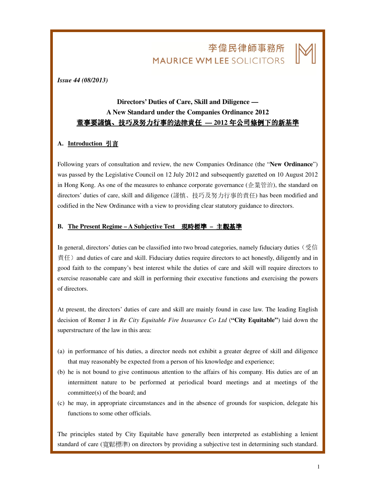# 李偉民律師事務所 **MAURICE WM LEE SOLICITORS**

L

#### *Issue 44 (08/2013)*

# **Directors' Duties of Care, Skill and Diligence — A New Standard under the Companies Ordinance 2012**  董事要謹慎、技巧及努力行事的法律責任 - 2012 年公司條例下的新基準

### **A. Introduction** 引言

Following years of consultation and review, the new Companies Ordinance (the "**New Ordinance**") was passed by the Legislative Council on 12 July 2012 and subsequently gazetted on 10 August 2012 in Hong Kong. As one of the measures to enhance corporate governance (企業管治), the standard on directors' duties of care, skill and diligence (謹慎、技巧及努力行事的責任) has been modified and codified in the New Ordinance with a view to providing clear statutory guidance to directors.

#### **B. The Present Regime – A Subjective Test** 現時標準 **–** 主觀基準

In general, directors' duties can be classified into two broad categories, namely fiduciary duties (受信  $\exists$   $(4)$  and duties of care and skill. Fiduciary duties require directors to act honestly, diligently and in good faith to the company's best interest while the duties of care and skill will require directors to exercise reasonable care and skill in performing their executive functions and exercising the powers of directors.

At present, the directors' duties of care and skill are mainly found in case law. The leading English decision of Romer J in *Re City Equitable Fire Insurance Co Ltd* (**"City Equitable"**) laid down the superstructure of the law in this area:

- (a) in performance of his duties, a director needs not exhibit a greater degree of skill and diligence that may reasonably be expected from a person of his knowledge and experience;
- (b) he is not bound to give continuous attention to the affairs of his company. His duties are of an intermittent nature to be performed at periodical board meetings and at meetings of the committee(s) of the board; and
- (c) he may, in appropriate circumstances and in the absence of grounds for suspicion, delegate his functions to some other officials.

The principles stated by City Equitable have generally been interpreted as establishing a lenient standard of care (寬鬆標準) on directors by providing a subjective test in determining such standard.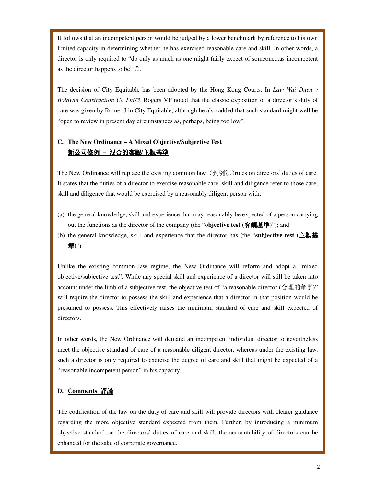It follows that an incompetent person would be judged by a lower benchmark by reference to his own limited capacity in determining whether he has exercised reasonable care and skill. In other words, a director is only required to "do only as much as one might fairly expect of someone...as incompetent as the director happens to be"  $\Phi$ .

The decision of City Equitable has been adopted by the Hong Kong Courts. In *Law Wai Duen v*  Boldwin Construction Co Ltd 2, Rogers VP noted that the classic exposition of a director's duty of care was given by Romer J in City Equitable, although he also added that such standard might well be "open to review in present day circumstances as, perhaps, being too low".

## **C. The New Ordinance – A Mixed Objective/Subjective Test**  新公司條例 **–** 混合的客觀**/**主觀基準

The New Ordinance will replace the existing common law  $($ 判例法)rules on directors' duties of care. It states that the duties of a director to exercise reasonable care, skill and diligence refer to those care, skill and diligence that would be exercised by a reasonably diligent person with:

- (a) the general knowledge, skill and experience that may reasonably be expected of a person carrying out the functions as the director of the company (the "**objective test (**客觀基準**)**"); and
- (b) the general knowledge, skill and experience that the director has (the "**subjective test (**主觀基 準**)**").

Unlike the existing common law regime, the New Ordinance will reform and adopt a "mixed objective/subjective test". While any special skill and experience of a director will still be taken into account under the limb of a subjective test, the objective test of "a reasonable director (合理的董事)" will require the director to possess the skill and experience that a director in that position would be presumed to possess. This effectively raises the minimum standard of care and skill expected of directors.

In other words, the New Ordinance will demand an incompetent individual director to nevertheless meet the objective standard of care of a reasonable diligent director, whereas under the existing law, such a director is only required to exercise the degree of care and skill that might be expected of a "reasonable incompetent person" in his capacity.

### **D. Comments** 評論

The codification of the law on the duty of care and skill will provide directors with clearer guidance regarding the more objective standard expected from them. Further, by introducing a minimum objective standard on the directors' duties of care and skill, the accountability of directors can be enhanced for the sake of corporate governance.

L